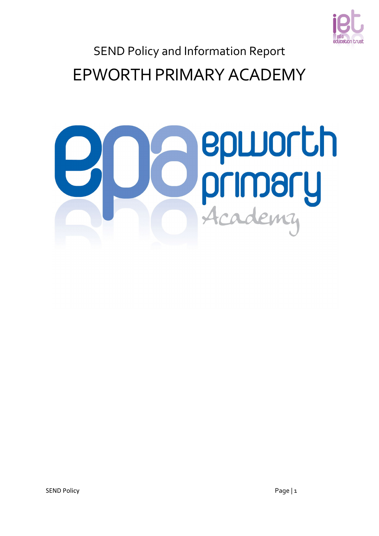

EPWORTH PRIMARY ACADEMY

# epworth primary<br>Academy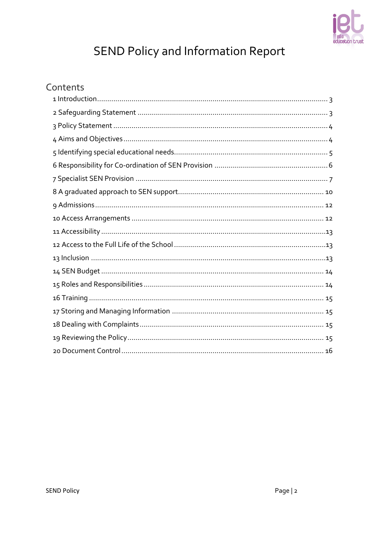

# Contents

<span id="page-1-0"></span>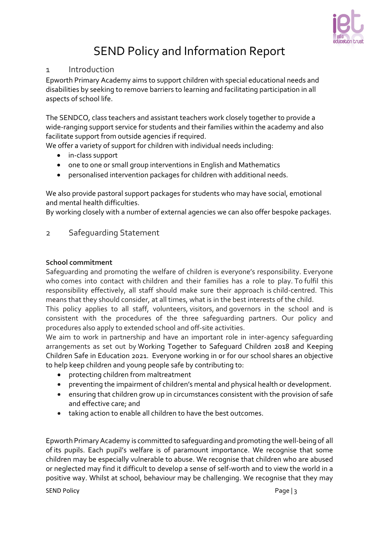

#### 1 Introduction

Epworth Primary Academy aims to support children with special educational needs and disabilities by seeking to remove barriers to learning and facilitating participation in all aspects of school life.

The SENDCO, class teachers and assistant teachers work closely together to provide a wide-ranging support service for students and their families within the academy and also facilitate support from outside agencies if required.

We offer a variety of support for children with individual needs including:

- in-class support
- one to one or small group interventions in English and Mathematics
- personalised intervention packages for children with additional needs.

We also provide pastoral support packages for students who may have social, emotional and mental health difficulties.

By working closely with a number of external agencies we can also offer bespoke packages.

## <span id="page-2-0"></span>2 Safeguarding Statement

#### **School commitment**

Safeguarding and promoting the welfare of children is everyone's responsibility. Everyone who comes into contact with children and their families has a role to play. To fulfil this responsibility effectively, all staff should make sure their approach is child-centred. This means that they should consider, at all times, what is in the best interests of the child.

This policy applies to all staff, volunteers, visitors, and governors in the school and is consistent with the procedures of the three safeguarding partners. Our policy and procedures also apply to extended school and off-site activities.

We aim to work in partnership and have an important role in inter-agency safeguarding arrangements as set out by Working Together to Safeguard Children 2018 and Keeping Children Safe in Education 2021. Everyone working in or for our school shares an objective to help keep children and young people safe by contributing to:

- protecting children from maltreatment
- preventing the impairment of children's mental and physical health or development.
- ensuring that children grow up in circumstances consistent with the provision of safe and effective care; and
- taking action to enable all children to have the best outcomes.

Epworth PrimaryAcademy is committed to safeguarding and promoting the well-being of all of its pupils. Each pupil's welfare is of paramount importance. We recognise that some children may be especially vulnerable to abuse. We recognise that children who are abused or neglected may find it difficult to develop a sense of self-worth and to view the world in a positive way. Whilst at school, behaviour may be challenging. We recognise that they may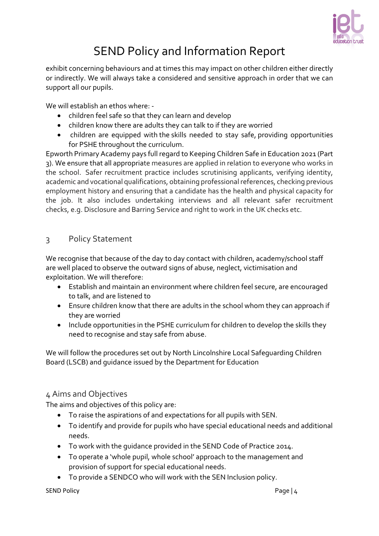

exhibit concerning behaviours and at times this may impact on other children either directly or indirectly. We will always take a considered and sensitive approach in order that we can support all our pupils.

We will establish an ethos where: -

- children feel safe so that they can learn and develop
- children know there are adults they can talk to if they are worried
- children are equipped with the skills needed to stay safe, providing opportunities for PSHE throughout the curriculum.

Epworth Primary Academy pays full regard to Keeping Children Safe in Education 2021 (Part 3). We ensure that all appropriate measures are applied in relation to everyone who works in the school. Safer recruitment practice includes scrutinising applicants, verifying identity, academic and vocational qualifications, obtaining professional references, checking previous employment history and ensuring that a candidate has the health and physical capacity for the job. It also includes undertaking interviews and all relevant safer recruitment checks, e.g. Disclosure and Barring Service and right to work in the UK checks etc.

## <span id="page-3-0"></span>3 Policy Statement

We recognise that because of the day to day contact with children, academy/school staff are well placed to observe the outward signs of abuse, neglect, victimisation and exploitation. We will therefore:

- Establish and maintain an environment where children feel secure, are encouraged to talk, and are listened to
- Ensure children know that there are adults in the school whom they can approach if they are worried
- Include opportunities in the PSHE curriculum for children to develop the skills they need to recognise and stay safe from abuse.

We will follow the procedures set out by North Lincolnshire Local Safeguarding Children Board (LSCB) and guidance issued by the Department for Education

## <span id="page-3-1"></span>4 Aims and Objectives

The aims and objectives of this policy are:

- To raise the aspirations of and expectations for all pupils with SEN.
- To identify and provide for pupils who have special educational needs and additional needs.
- To work with the guidance provided in the SEND Code of Practice 2014.
- To operate a 'whole pupil, whole school' approach to the management and provision of support for special educational needs.
- To provide a SENDCO who will work with the SEN Inclusion policy.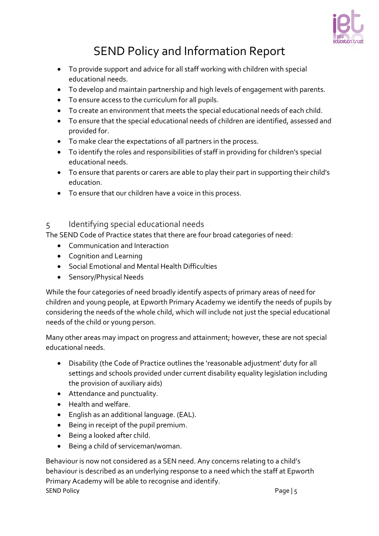

- To provide support and advice for all staff working with children with special educational needs.
- To develop and maintain partnership and high levels of engagement with parents.
- To ensure access to the curriculum for all pupils.
- To create an environment that meets the special educational needs of each child.
- To ensure that the special educational needs of children are identified, assessed and provided for.
- To make clear the expectations of all partners in the process.
- To identify the roles and responsibilities of staff in providing for children's special educational needs.
- To ensure that parents or carers are able to play their part in supporting their child's education.
- To ensure that our children have a voice in this process.

## <span id="page-4-0"></span>5 Identifying special educational needs

The SEND Code of Practice states that there are four broad categories of need:

- Communication and Interaction
- Cognition and Learning
- Social Emotional and Mental Health Difficulties
- Sensory/Physical Needs

While the four categories of need broadly identify aspects of primary areas of need for children and young people, at Epworth Primary Academy we identify the needs of pupils by considering the needs of the whole child, which will include not just the special educational needs of the child or young person.

Many other areas may impact on progress and attainment; however, these are not special educational needs.

- Disability (the Code of Practice outlines the 'reasonable adjustment' duty for all settings and schools provided under current disability equality legislation including the provision of auxiliary aids)
- Attendance and punctuality.
- Health and welfare.
- English as an additional language. (EAL).
- Being in receipt of the pupil premium.
- Being a looked after child.
- Being a child of serviceman/woman.

SEND Policy Page | 5 Behaviour is now not considered as a SEN need. Any concerns relating to a child's behaviour is described as an underlying response to a need which the staff at Epworth Primary Academy will be able to recognise and identify.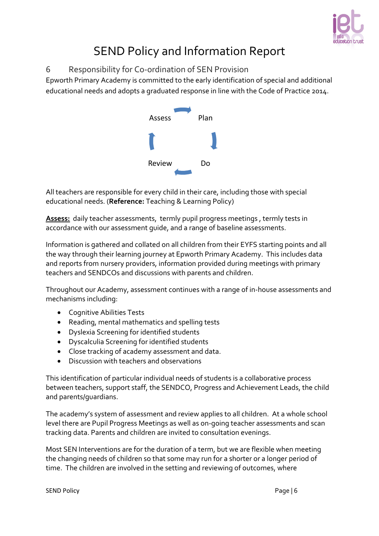

## <span id="page-5-0"></span>6 Responsibility for Co-ordination of SEN Provision

Epworth Primary Academy is committed to the early identification of special and additional educational needs and adopts a graduated response in line with the Code of Practice 2014.



All teachers are responsible for every child in their care, including those with special educational needs. (**Reference:** Teaching & Learning Policy)

**Assess:** daily teacher assessments, termly pupil progress meetings , termly tests in accordance with our assessment guide, and a range of baseline assessments.

Information is gathered and collated on all children from their EYFS starting points and all the way through their learning journey at Epworth Primary Academy. This includes data and reports from nursery providers, information provided during meetings with primary teachers and SENDCOs and discussions with parents and children.

Throughout our Academy, assessment continues with a range of in-house assessments and mechanisms including:

- Cognitive Abilities Tests
- Reading, mental mathematics and spelling tests
- Dyslexia Screening for identified students
- Dyscalculia Screening for identified students
- Close tracking of academy assessment and data.
- Discussion with teachers and observations

This identification of particular individual needs of students is a collaborative process between teachers, support staff, the SENDCO, Progress and Achievement Leads, the child and parents/guardians.

The academy's system of assessment and review applies to all children. At a whole school level there are Pupil Progress Meetings as well as on-going teacher assessments and scan tracking data. Parents and children are invited to consultation evenings.

Most SEN Interventions are for the duration of a term, but we are flexible when meeting the changing needs of children so that some may run for a shorter or a longer period of time. The children are involved in the setting and reviewing of outcomes, where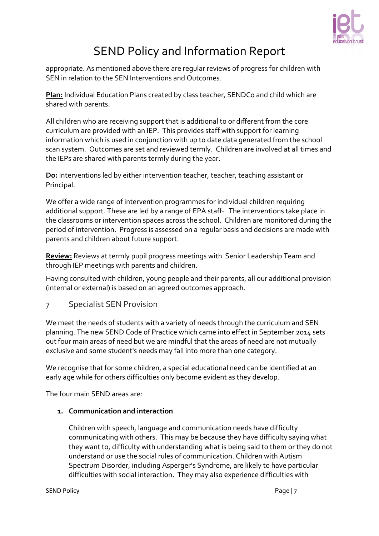

appropriate. As mentioned above there are regular reviews of progress for children with SEN in relation to the SEN Interventions and Outcomes.

**Plan:** Individual Education Plans created by class teacher, SENDCo and child which are shared with parents.

All children who are receiving support that is additional to or different from the core curriculum are provided with an IEP. This provides staff with support for learning information which is used in conjunction with up to date data generated from the school scan system. Outcomes are set and reviewed termly. Children are involved at all times and the IEPs are shared with parents termly during the year.

**Do:** Interventions led by either intervention teacher, teacher, teaching assistant or Principal.

We offer a wide range of intervention programmes for individual children requiring additional support. These are led by a range of EPA staff. The interventions take place in the classrooms or intervention spaces across the school. Children are monitored during the period of intervention. Progress is assessed on a regular basis and decisions are made with parents and children about future support.

**Review:** Reviews at termly pupil progress meetings with Senior Leadership Team and through IEP meetings with parents and children.

Having consulted with children, young people and their parents, all our additional provision (internal or external) is based on an agreed outcomes approach.

<span id="page-6-0"></span>7 Specialist SEN Provision

We meet the needs of students with a variety of needs through the curriculum and SEN planning. The new SEND Code of Practice which came into effect in September 2014 sets out four main areas of need but we are mindful that the areas of need are not mutually exclusive and some student's needs may fall into more than one category.

We recognise that for some children, a special educational need can be identified at an early age while for others difficulties only become evident as they develop.

The four main SEND areas are:

#### **1. Communication and interaction**

Children with speech, language and communication needs have difficulty communicating with others. This may be because they have difficulty saying what they want to, difficulty with understanding what is being said to them or they do not understand or use the social rules of communication. Children with Autism Spectrum Disorder, including Asperger's Syndrome, are likely to have particular difficulties with social interaction. They may also experience difficulties with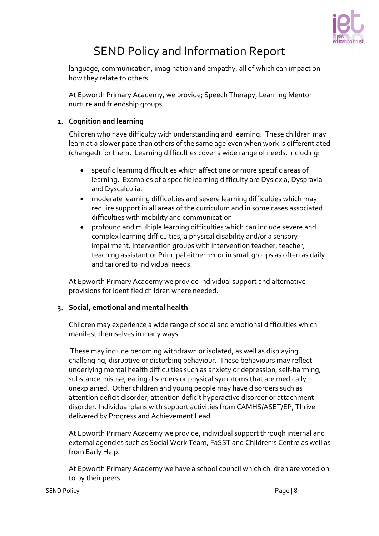

language, communication, imagination and empathy, all of which can impact on how they relate to others.

At Epworth Primary Academy, we provide; Speech Therapy, Learning Mentor nurture and friendship groups.

#### **2. Cognition and learning**

Children who have difficulty with understanding and learning. These children may learn at a slower pace than others of the same age even when work is differentiated (changed) for them. Learning difficulties cover a wide range of needs, including:

- specific learning difficulties which affect one or more specific areas of learning. Examples of a specific learning difficulty are Dyslexia, Dyspraxia and Dyscalculia.
- moderate learning difficulties and severe learning difficulties which may require support in all areas of the curriculum and in some cases associated difficulties with mobility and communication.
- profound and multiple learning difficulties which can include severe and complex learning difficulties, a physical disability and/or a sensory impairment. Intervention groups with intervention teacher, teacher, teaching assistant or Principal either 1:1 or in small groups as often as daily and tailored to individual needs.

At Epworth Primary Academy we provide individual support and alternative provisions for identified children where needed.

## **3. Social, emotional and mental health**

Children may experience a wide range of social and emotional difficulties which manifest themselves in many ways.

These may include becoming withdrawn or isolated, as well as displaying challenging, disruptive or disturbing behaviour. These behaviours may reflect underlying mental health difficulties such as anxiety or depression, self-harming, substance misuse, eating disorders or physical symptoms that are medically unexplained. Other children and young people may have disorders such as attention deficit disorder, attention deficit hyperactive disorder or attachment disorder. Individual plans with support activities from CAMHS/ASET/EP, Thrive delivered by Progress and Achievement Lead.

At Epworth Primary Academy we provide, individual support through internal and external agencies such as Social Work Team, FaSST and Children's Centre as well as from Early Help.

At Epworth Primary Academy we have a school council which children are voted on to by their peers.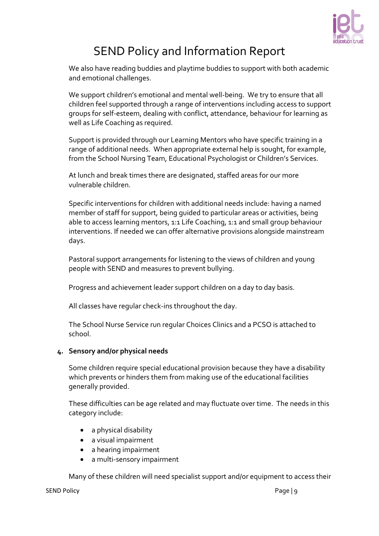

We also have reading buddies and playtime buddies to support with both academic and emotional challenges.

We support children's emotional and mental well-being. We try to ensure that all children feel supported through a range of interventions including access to support groups for self-esteem, dealing with conflict, attendance, behaviour for learning as well as Life Coaching as required.

Support is provided through our Learning Mentors who have specific training in a range of additional needs. When appropriate external help is sought, for example, from the School Nursing Team, Educational Psychologist or Children's Services.

At lunch and break times there are designated, staffed areas for our more vulnerable children.

Specific interventions for children with additional needs include: having a named member of staff for support, being guided to particular areas or activities, being able to access learning mentors, 1:1 Life Coaching, 1:1 and small group behaviour interventions. If needed we can offer alternative provisions alongside mainstream days.

Pastoral support arrangements for listening to the views of children and young people with SEND and measures to prevent bullying.

Progress and achievement leader support children on a day to day basis.

All classes have regular check-ins throughout the day.

The School Nurse Service run regular Choices Clinics and a PCSO is attached to school.

#### **4. Sensory and/or physical needs**

Some children require special educational provision because they have a disability which prevents or hinders them from making use of the educational facilities generally provided.

These difficulties can be age related and may fluctuate over time. The needs in this category include:

- a physical disability
- a visual impairment
- a hearing impairment
- a multi-sensory impairment

Many of these children will need specialist support and/or equipment to access their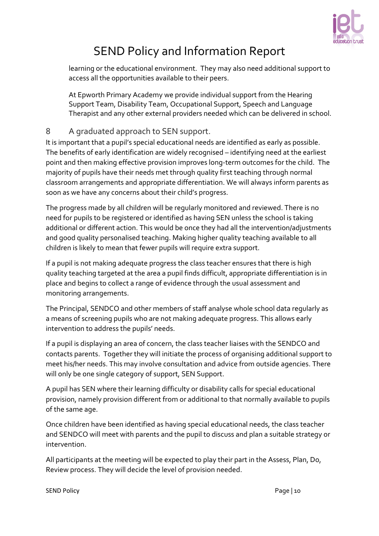

learning or the educational environment. They may also need additional support to access all the opportunities available to their peers.

At Epworth Primary Academy we provide individual support from the Hearing Support Team, Disability Team, Occupational Support, Speech and Language Therapist and any other external providers needed which can be delivered in school.

## <span id="page-9-0"></span>8 A graduated approach to SEN support.

It is important that a pupil's special educational needs are identified as early as possible. The benefits of early identification are widely recognised – identifying need at the earliest point and then making effective provision improves long-term outcomes for the child. The majority of pupils have their needs met through quality first teaching through normal classroom arrangements and appropriate differentiation. We will always inform parents as soon as we have any concerns about their child's progress.

The progress made by all children will be regularly monitored and reviewed. There is no need for pupils to be registered or identified as having SEN unless the school is taking additional or different action. This would be once they had all the intervention/adjustments and good quality personalised teaching. Making higher quality teaching available to all children is likely to mean that fewer pupils will require extra support.

If a pupil is not making adequate progress the class teacher ensures that there is high quality teaching targeted at the area a pupil finds difficult, appropriate differentiation is in place and begins to collect a range of evidence through the usual assessment and monitoring arrangements.

The Principal, SENDCO and other members of staff analyse whole school data regularly as a means of screening pupils who are not making adequate progress. This allows early intervention to address the pupils' needs.

If a pupil is displaying an area of concern, the class teacher liaises with the SENDCO and contacts parents. Together they will initiate the process of organising additional support to meet his/her needs. This may involve consultation and advice from outside agencies. There will only be one single category of support, SEN Support.

A pupil has SEN where their learning difficulty or disability calls for special educational provision, namely provision different from or additional to that normally available to pupils of the same age.

Once children have been identified as having special educational needs, the class teacher and SENDCO will meet with parents and the pupil to discuss and plan a suitable strategy or intervention.

All participants at the meeting will be expected to play their part in the Assess, Plan, Do, Review process. They will decide the level of provision needed.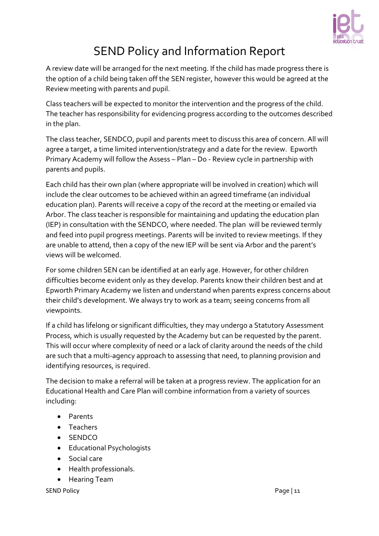

A review date will be arranged for the next meeting. If the child has made progress there is the option of a child being taken off the SEN register, however this would be agreed at the Review meeting with parents and pupil.

Class teachers will be expected to monitor the intervention and the progress of the child. The teacher has responsibility for evidencing progress according to the outcomes described in the plan.

The class teacher, SENDCO, pupil and parents meet to discuss this area of concern. All will agree a target, a time limited intervention/strategy and a date for the review. Epworth Primary Academy will follow the Assess – Plan – Do - Review cycle in partnership with parents and pupils.

Each child has their own plan (where appropriate will be involved in creation) which will include the clear outcomes to be achieved within an agreed timeframe (an individual education plan). Parents will receive a copy of the record at the meeting or emailed via Arbor. The class teacher is responsible for maintaining and updating the education plan (IEP) in consultation with the SENDCO, where needed. The plan will be reviewed termly and feed into pupil progress meetings. Parents will be invited to review meetings. If they are unable to attend, then a copy of the new IEP will be sent via Arbor and the parent's views will be welcomed.

For some children SEN can be identified at an early age. However, for other children difficulties become evident only as they develop. Parents know their children best and at Epworth Primary Academy we listen and understand when parents express concerns about their child's development. We always try to work as a team; seeing concerns from all viewpoints.

If a child has lifelong or significant difficulties, they may undergo a Statutory Assessment Process, which is usually requested by the Academy but can be requested by the parent. This will occur where complexity of need or a lack of clarity around the needs of the child are such that a multi-agency approach to assessing that need, to planning provision and identifying resources, is required.

The decision to make a referral will be taken at a progress review. The application for an Educational Health and Care Plan will combine information from a variety of sources including:

- Parents
- Teachers
- SENDCO
- Educational Psychologists
- Social care
- Health professionals.
- Hearing Team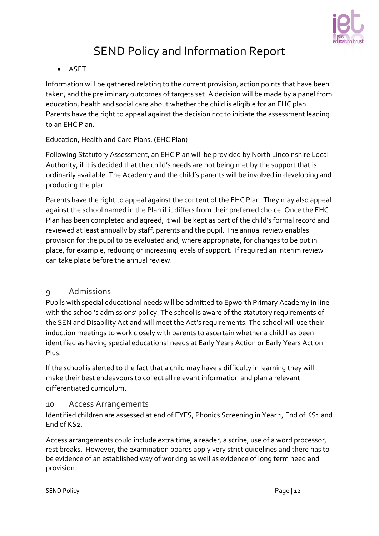

## • ASET

Information will be gathered relating to the current provision, action points that have been taken, and the preliminary outcomes of targets set. A decision will be made by a panel from education, health and social care about whether the child is eligible for an EHC plan. Parents have the right to appeal against the decision not to initiate the assessment leading to an EHC Plan.

## Education, Health and Care Plans. (EHC Plan)

Following Statutory Assessment, an EHC Plan will be provided by North Lincolnshire Local Authority, if it is decided that the child's needs are not being met by the support that is ordinarily available. The Academy and the child's parents will be involved in developing and producing the plan.

Parents have the right to appeal against the content of the EHC Plan. They may also appeal against the school named in the Plan if it differs from their preferred choice. Once the EHC Plan has been completed and agreed, it will be kept as part of the child's formal record and reviewed at least annually by staff, parents and the pupil. The annual review enables provision for the pupil to be evaluated and, where appropriate, for changes to be put in place, for example, reducing or increasing levels of support. If required an interim review can take place before the annual review.

## <span id="page-11-0"></span>9 Admissions

Pupils with special educational needs will be admitted to Epworth Primary Academy in line with the school's admissions' policy. The school is aware of the statutory requirements of the SEN and Disability Act and will meet the Act's requirements. The school will use their induction meetings to work closely with parents to ascertain whether a child has been identified as having special educational needs at Early Years Action or Early Years Action Plus.

If the school is alerted to the fact that a child may have a difficulty in learning they will make their best endeavours to collect all relevant information and plan a relevant differentiated curriculum.

## <span id="page-11-1"></span>10 Access Arrangements

Identified children are assessed at end of EYFS, Phonics Screening in Year 1, End of KS1 and End of KS2.

Access arrangements could include extra time, a reader, a scribe, use of a word processor, rest breaks. However, the examination boards apply very strict guidelines and there has to be evidence of an established way of working as well as evidence of long term need and provision.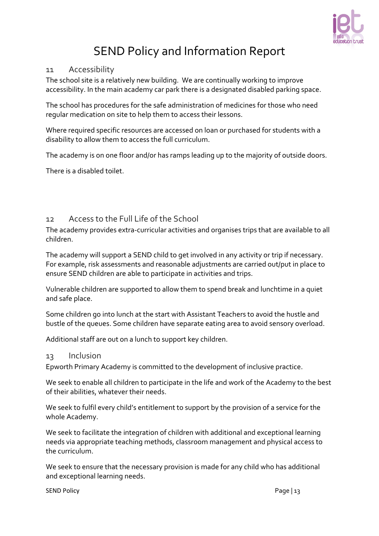

#### <span id="page-12-0"></span>11 Accessibility

The school site is a relatively new building. We are continually working to improve accessibility. In the main academy car park there is a designated disabled parking space.

The school has procedures for the safe administration of medicines for those who need regular medication on site to help them to access their lessons.

Where required specific resources are accessed on loan or purchased for students with a disability to allow them to access the full curriculum.

The academy is on one floor and/or has ramps leading up to the majority of outside doors.

There is a disabled toilet.

## <span id="page-12-1"></span>12 Access to the Full Life of the School

The academy provides extra-curricular activities and organises trips that are available to all children.

The academy will support a SEND child to get involved in any activity or trip if necessary. For example, risk assessments and reasonable adjustments are carried out/put in place to ensure SEND children are able to participate in activities and trips.

Vulnerable children are supported to allow them to spend break and lunchtime in a quiet and safe place.

Some children go into lunch at the start with Assistant Teachers to avoid the hustle and bustle of the queues. Some children have separate eating area to avoid sensory overload.

Additional staff are out on a lunch to support key children.

#### <span id="page-12-2"></span>13 Inclusion

Epworth Primary Academy is committed to the development of inclusive practice.

We seek to enable all children to participate in the life and work of the Academy to the best of their abilities, whatever their needs.

We seek to fulfil every child's entitlement to support by the provision of a service for the whole Academy.

We seek to facilitate the integration of children with additional and exceptional learning needs via appropriate teaching methods, classroom management and physical access to the curriculum.

We seek to ensure that the necessary provision is made for any child who has additional and exceptional learning needs.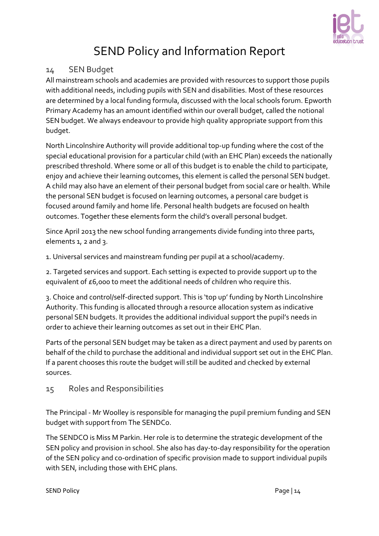

## <span id="page-13-0"></span>14 SEN Budget

All mainstream schools and academies are provided with resources to support those pupils with additional needs, including pupils with SEN and disabilities. Most of these resources are determined by a local funding formula, discussed with the local schools forum. Epworth Primary Academy has an amount identified within our overall budget, called the notional SEN budget. We always endeavour to provide high quality appropriate support from this budget.

North Lincolnshire Authority will provide additional top-up funding where the cost of the special educational provision for a particular child (with an EHC Plan) exceeds the nationally prescribed threshold. Where some or all of this budget is to enable the child to participate, enjoy and achieve their learning outcomes, this element is called the personal SEN budget. A child may also have an element of their personal budget from social care or health. While the personal SEN budget is focused on learning outcomes, a personal care budget is focused around family and home life. Personal health budgets are focused on health outcomes. Together these elements form the child's overall personal budget.

Since April 2013 the new school funding arrangements divide funding into three parts, elements 1, 2 and 3.

1. Universal services and mainstream funding per pupil at a school/academy.

2. Targeted services and support. Each setting is expected to provide support up to the equivalent of £6,000 to meet the additional needs of children who require this.

3. Choice and control/self-directed support. This is 'top up' funding by North Lincolnshire Authority. This funding is allocated through a resource allocation system as indicative personal SEN budgets. It provides the additional individual support the pupil's needs in order to achieve their learning outcomes as set out in their EHC Plan.

Parts of the personal SEN budget may be taken as a direct payment and used by parents on behalf of the child to purchase the additional and individual support set out in the EHC Plan. If a parent chooses this route the budget will still be audited and checked by external sources.

## <span id="page-13-1"></span>15 Roles and Responsibilities

The Principal - Mr Woolley is responsible for managing the pupil premium funding and SEN budget with support from The SENDCo.

The SENDCO is Miss M Parkin. Her role is to determine the strategic development of the SEN policy and provision in school. She also has day-to-day responsibility for the operation of the SEN policy and co-ordination of specific provision made to support individual pupils with SEN, including those with EHC plans.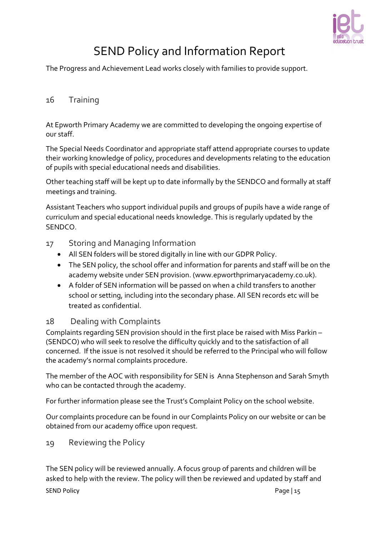

The Progress and Achievement Lead works closely with families to provide support.

## <span id="page-14-0"></span>16 Training

At Epworth Primary Academy we are committed to developing the ongoing expertise of our staff.

The Special Needs Coordinator and appropriate staff attend appropriate courses to update their working knowledge of policy, procedures and developments relating to the education of pupils with special educational needs and disabilities.

Other teaching staff will be kept up to date informally by the SENDCO and formally at staff meetings and training.

Assistant Teachers who support individual pupils and groups of pupils have a wide range of curriculum and special educational needs knowledge. This is regularly updated by the SENDCO.

- <span id="page-14-1"></span>17 Storing and Managing Information
	- All SEN folders will be stored digitally in line with our GDPR Policy.
	- The SEN policy, the school offer and information for parents and staff will be on the academy website under SEN provision. (www.epworthprimaryacademy.co.uk).
	- A folder of SEN information will be passed on when a child transfers to another school or setting, including into the secondary phase. All SEN records etc will be treated as confidential.

## <span id="page-14-2"></span>18 Dealing with Complaints

Complaints regarding SEN provision should in the first place be raised with Miss Parkin – (SENDCO) who will seek to resolve the difficulty quickly and to the satisfaction of all concerned. If the issue is not resolved it should be referred to the Principal who will follow the academy's normal complaints procedure.

The member of the AOC with responsibility for SEN is Anna Stephenson and Sarah Smyth who can be contacted through the academy.

For further information please see the Trust's Complaint Policy on the school website.

Our complaints procedure can be found in our Complaints Policy on our website or can be obtained from our academy office upon request.

<span id="page-14-3"></span>19 Reviewing the Policy

SEND Policy Page | 15 The SEN policy will be reviewed annually. A focus group of parents and children will be asked to help with the review. The policy will then be reviewed and updated by staff and